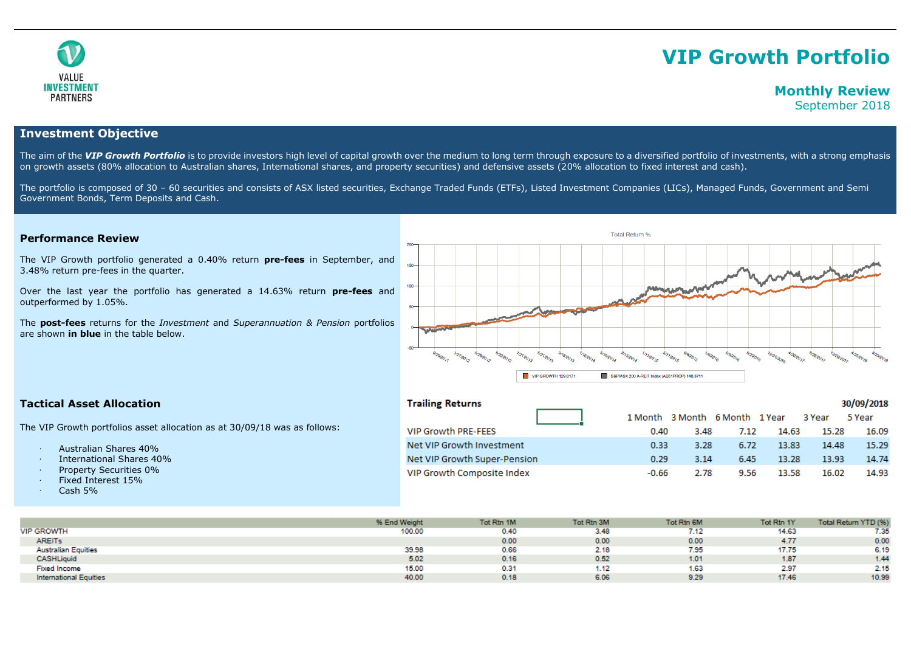

# **VIP Growth Portfolio**

# **Monthly Review**

September 2018

## **Investment Objective**

The aim of the VIP Growth Portfolio is to provide investors high level of capital growth over the medium to long term through exposure to a diversified portfolio of investments, with a strong emphasis on growth assets (80% allocation to Australian shares, International shares, and property securities) and defensive assets (20% allocation to fixed interest and cash).

The portfolio is composed of 30 - 60 securities and consists of ASX listed securities, Exchange Traded Funds (ETFs), Listed Investment Companies (LICs), Managed Funds, Government and Semi Government Bonds, Term Deposits and Cash.

#### **Performance Review**

The VIP Growth portfolio generated a 0.40% return **pre-fees** in September, and 3.48% return pre-fees in the quarter.

Over the last year the portfolio has generated a 14.63% return **pre-fees** and outperformed by 1.05%.

The **post-fees** returns for the *Investment* and *Superannuation & Pension* portfolios are shown **in blue** in the table below.



### **Tactical Asset Allocation**

The VIP Growth portfolios asset allocation as at 30/09/18 was as follows:

- · Australian Shares 40%
- · International Shares 40%
- Property Securities 0%
- · Fixed Interest 15%
- $\cdot$  Cash 5%

| <b>Trailing Returns</b>      |         |      |                                |       |        | 30/09/2018 |
|------------------------------|---------|------|--------------------------------|-------|--------|------------|
|                              |         |      | 1 Month 3 Month 6 Month 1 Year |       | 3 Year | 5 Year     |
| <b>VIP Growth PRE-FEES</b>   | 0.40    | 3.48 | 7.12                           | 14.63 | 15.28  | 16.09      |
| Net VIP Growth Investment    | 0.33    | 3.28 | 6.72                           | 13.83 | 14.48  | 15.29      |
| Net VIP Growth Super-Pension | 0.29    | 3.14 | 6.45                           | 13.28 | 13.93  | 14.74      |
| VIP Growth Composite Index   | $-0.66$ | 2.78 | 9.56                           | 13.58 | 16.02  | 14.93      |

|                               | % End Weight | Tot Rtn 1M | Tot Rtn 3M | Tot Rtn 6M | Tot Rtn 1Y | Total Return YTD (%) |
|-------------------------------|--------------|------------|------------|------------|------------|----------------------|
| <b>VIP GROWTH</b>             | 100.00       | 0.40       | 3.48       | 7.12       | 14.63      | 7.35                 |
| <b>AREITs</b>                 |              | 0.00       | 0.00       | 0.00       | 4.77       | 0.00                 |
| <b>Australian Equities</b>    | 39.98        | 0.66       | 2.18       | 7.95       | 17.75      | 6.19                 |
| <b>CASHLiquid</b>             | 5.02         | 0.16       | 0.52       | 1.01       | 1.87       | 1.44                 |
| <b>Fixed Income</b>           | 15.00        | 0.31       | .12        | 1.63       | 2.97       | 2.15                 |
| <b>International Equities</b> | 40.00        | 0.18       | 6.06       | 9.29       | 17.46      | 10.99                |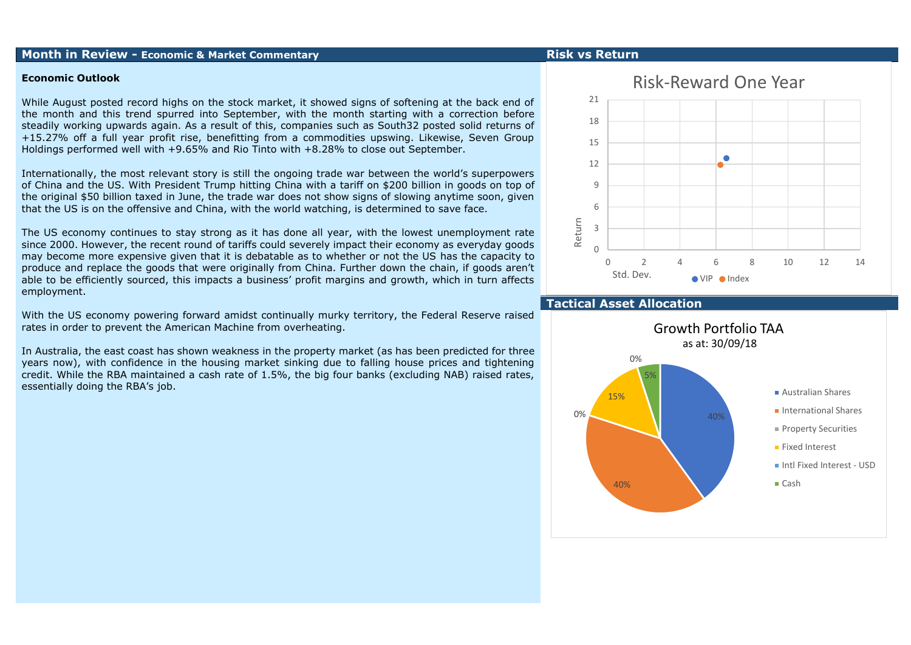### **Month in Review - Economic & Market Commentary Risk vs Return**

#### **Economic Outlook**

While August posted record highs on the stock market, it showed signs of softening at the back end of the month and this trend spurred into September, with the month starting with a correction before steadily working upwards again. As a result of this, companies such as South32 posted solid returns of +15.27% off a full year profit rise, benefitting from a commodities upswing. Likewise, Seven Group Holdings performed well with +9.65% and Rio Tinto with +8.28% to close out September.

Internationally, the most relevant story is still the ongoing trade war between the world's superpowers of China and the US. With President Trump hitting China with a tariff on \$200 billion in goods on top of the original \$50 billion taxed in June, the trade war does not show signs of slowing anytime soon, given that the US is on the offensive and China, with the world watching, is determined to save face.

The US economy continues to stay strong as it has done all year, with the lowest unemployment rate since 2000. However, the recent round of tariffs could severely impact their economy as everyday goods may become more expensive given that it is debatable as to whether or not the US has the capacity to produce and replace the goods that were originally from China. Further down the chain, if goods aren't able to be efficiently sourced, this impacts a business' profit margins and growth, which in turn affects employment.

With the US economy powering forward amidst continually murky territory, the Federal Reserve raised rates in order to prevent the American Machine from overheating.

In Australia, the east coast has shown weakness in the property market (as has been predicted for three years now), with confidence in the housing market sinking due to falling house prices and tightening credit. While the RBA maintained a cash rate of 1.5%, the big four banks (excluding NAB) raised rates, essentially doing the RBA's job.

# Risk-Reward One Year 21 18 15  $\bullet$ 12  $\mathsf{q}$ 6 Return 3 0 0 2 4 6 8 10 12 14 Std. Dev.  $\bullet$  VIP  $\bullet$  Index

### **Tactical Asset Allocation**

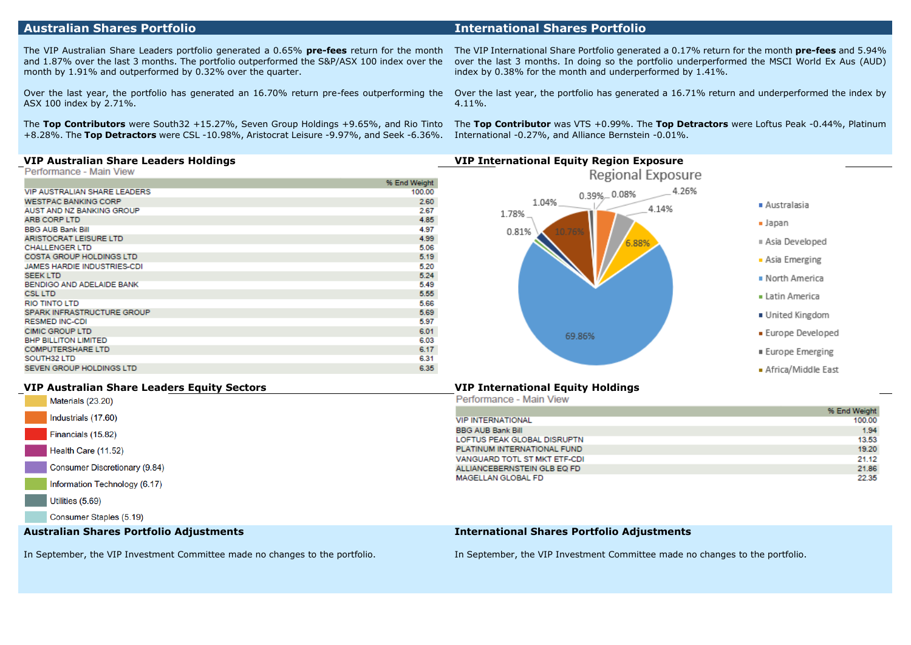### **Australian Shares Portfolio International Shares Portfolio**

The VIP Australian Share Leaders portfolio generated a 0.65% **pre-fees** return for the month and 1.87% over the last 3 months. The portfolio outperformed the S&P/ASX 100 index over the month by 1.91% and outperformed by 0.32% over the quarter.

Over the last year, the portfolio has generated an 16.70% return pre-fees outperforming the ASX 100 index by 2.71%.

The **Top Contributors** were South32 +15.27%, Seven Group Holdings +9.65%, and Rio Tinto +8.28%. The **Top Detractors** were CSL -10.98%, Aristocrat Leisure -9.97%, and Seek -6.36%.

The VIP International Share Portfolio generated a 0.17% return for the month **pre-fees** and 5.94% over the last 3 months. In doing so the portfolio underperformed the MSCI World Ex Aus (AUD) index by 0.38% for the month and underperformed by 1.41%.

Over the last year, the portfolio has generated a 16.71% return and underperformed the index by 4.11%.

The **Top Contributor** was VTS +0.99%. The **Top Detractors** were Loftus Peak -0.44%, Platinum International -0.27%, and Alliance Bernstein -0.01%.

|                                 | % End Weight |
|---------------------------------|--------------|
| VIP AUSTRALIAN SHARE LEADERS    | 100.00       |
| <b>WESTPAC BANKING CORP</b>     | 2.60         |
| AUST AND NZ BANKING GROUP       | 2.67         |
| <b>ARB CORP LTD</b>             | 4.85         |
| <b>BBG AUB Bank Bill</b>        | 4.97         |
| ARISTOCRAT LEISURE LTD          | 4.99         |
| <b>CHALLENGER LTD</b>           | 5.06         |
| <b>COSTA GROUP HOLDINGS LTD</b> | 5.19         |
| JAMES HARDIE INDUSTRIES-CDI     | 5.20         |
| <b>SEEK LTD</b>                 | 5.24         |
| BENDIGO AND ADELAIDE BANK       | 5.49         |
| <b>CSL LTD</b>                  | 5.55         |
| <b>RIO TINTO LTD</b>            | 5.66         |
| SPARK INFRASTRUCTURE GROUP      | 5.69         |
| <b>RESMED INC-CDI</b>           | 5.97         |
| <b>CIMIC GROUP LTD</b>          | 6.01         |
| <b>BHP BILLITON LIMITED</b>     | 6.03         |
| <b>COMPUTERSHARE LTD</b>        | 6.17         |
| SOUTH32 LTD                     | 6.31         |
| SEVEN GROUP HOLDINGS LTD        | 6.35         |
|                                 |              |



#### **VIP Australian Share Leaders Equity Sectors VIP International Equity Holdings**

| Materials (23.20)                       |
|-----------------------------------------|
| Industrials (17.60)                     |
| Financials (15.82)                      |
| Health Care (11.52)                     |
| Consumer Discretionary (9.84)           |
| Information Technology (6.17)           |
| Utilities (5.69)                        |
| Consumer Staples (5.19)                 |
| Australian Shares Portfolio Adiustments |

| Performance - Main View      |              |
|------------------------------|--------------|
|                              | % End Weight |
| <b>VIP INTERNATIONAL</b>     | 100.00       |
| <b>BBG AUB Bank Bill</b>     | 1.94         |
| LOFTUS PEAK GLOBAL DISRUPTN  | 13.53        |
| PLATINUM INTERNATIONAL FUND  | 19.20        |
| VANGUARD TOTL ST MKT ETF-CDI | 21.12        |
| ALLIANCEBERNSTEIN GLB EQ FD  | 21.86        |
| MAGELLAN GLOBAL FD           | 22.35        |

#### **International Shares Portfolio Adjustments**

In September, the VIP Investment Committee made no changes to the portfolio.

In September, the VIP Investment Committee made no changes to the portfolio.